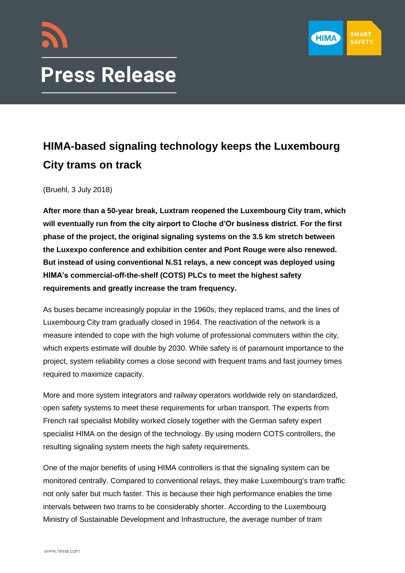

# **Press Release**

# **HIMA-based signaling technology keeps the Luxembourg City trams on track**

(Bruehl, 3 July 2018)

**After more than a 50-year break, Luxtram reopened the Luxembourg City tram, which will eventually run from the city airport to Cloche d'Or business district. For the first phase of the project, the original signaling systems on the 3.5 km stretch between the Luxexpo conference and exhibition center and Pont Rouge were also renewed. But instead of using conventional N.S1 relays, a new concept was deployed using HIMA's commercial-off-the-shelf (COTS) PLCs to meet the highest safety requirements and greatly increase the tram frequency.**

As buses became increasingly popular in the 1960s, they replaced trams, and the lines of Luxembourg City tram gradually closed in 1964. The reactivation of the network is a measure intended to cope with the high volume of professional commuters within the city, which experts estimate will double by 2030. While safety is of paramount importance to the project, system reliability comes a close second with frequent trams and fast journey times required to maximize capacity.

More and more system integrators and railway operators worldwide rely on standardized, open safety systems to meet these requirements for urban transport. The experts from French rail specialist Mobility worked closely together with the German safety expert specialist HIMA on the design of the technology. By using modern COTS controllers, the resulting signaling system meets the high safety requirements.

One of the major benefits of using HIMA controllers is that the signaling system can be monitored centrally. Compared to conventional relays, they make Luxembourg's tram traffic not only safer but much faster. This is because their high performance enables the time intervals between two trams to be considerably shorter. According to the Luxembourg Ministry of Sustainable Development and Infrastructure, the average number of tram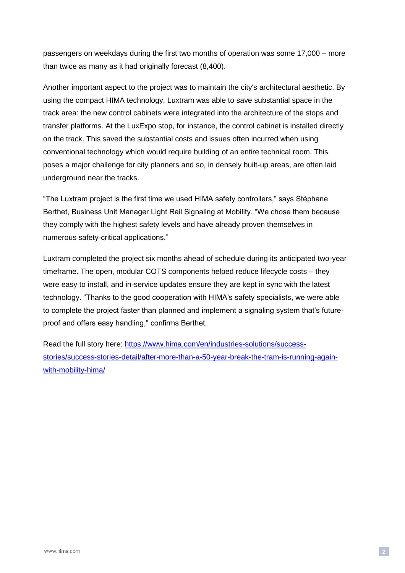passengers on weekdays during the first two months of operation was some 17,000 – more than twice as many as it had originally forecast (8,400).

Another important aspect to the project was to maintain the city's architectural aesthetic. By using the compact HIMA technology, Luxtram was able to save substantial space in the track area: the new control cabinets were integrated into the architecture of the stops and transfer platforms. At the LuxExpo stop, for instance, the control cabinet is installed directly on the track. This saved the substantial costs and issues often incurred when using conventional technology which would require building of an entire technical room. This poses a major challenge for city planners and so, in densely built-up areas, are often laid underground near the tracks.

"The Luxtram project is the first time we used HIMA safety controllers," says Stéphane Berthet, Business Unit Manager Light Rail Signaling at Mobility. "We chose them because they comply with the highest safety levels and have already proven themselves in numerous safety-critical applications."

Luxtram completed the project six months ahead of schedule during its anticipated two-year timeframe. The open, modular COTS components helped reduce lifecycle costs – they were easy to install, and in-service updates ensure they are kept in sync with the latest technology. "Thanks to the good cooperation with HIMA's safety specialists, we were able to complete the project faster than planned and implement a signaling system that's futureproof and offers easy handling," confirms Berthet.

Read the full story here: [https://www.hima.com/en/industries-solutions/success](https://www.hima.com/en/industries-solutions/success-stories/success-stories-detail/after-more-than-a-50-year-break-the-tram-is-running-again-with-mobility-hima/)[stories/success-stories-detail/after-more-than-a-50-year-break-the-tram-is-running-again](https://www.hima.com/en/industries-solutions/success-stories/success-stories-detail/after-more-than-a-50-year-break-the-tram-is-running-again-with-mobility-hima/)[with-mobility-hima/](https://www.hima.com/en/industries-solutions/success-stories/success-stories-detail/after-more-than-a-50-year-break-the-tram-is-running-again-with-mobility-hima/)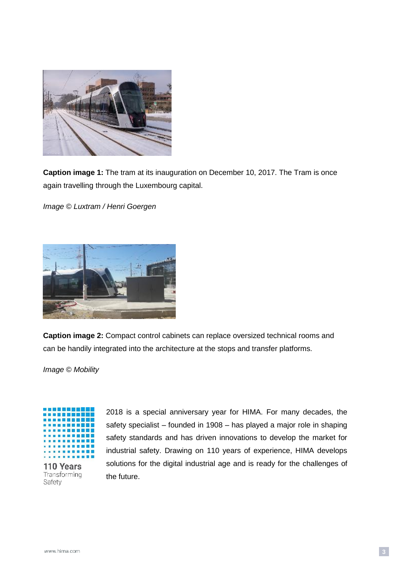

**Caption image 1:** The tram at its inauguration on December 10, 2017. The Tram is once again travelling through the Luxembourg capital.

*Image © Luxtram / Henri Goergen*



**Caption image 2:** Compact control cabinets can replace oversized technical rooms and can be handily integrated into the architecture at the stops and transfer platforms.

*Image © Mobility*



110 Years Transforming Safety

2018 is a special anniversary year for HIMA. For many decades, the safety specialist – founded in 1908 – has played a major role in shaping safety standards and has driven innovations to develop the market for industrial safety. Drawing on 110 years of experience, HIMA develops solutions for the digital industrial age and is ready for the challenges of the future.